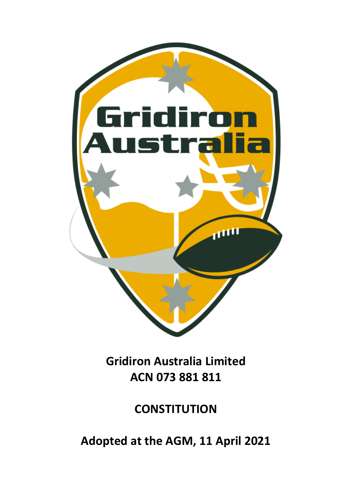

**Gridiron Australia Limited ACN 073 881 811**

**CONSTITUTION**

**Adopted at the AGM, 11 April 2021**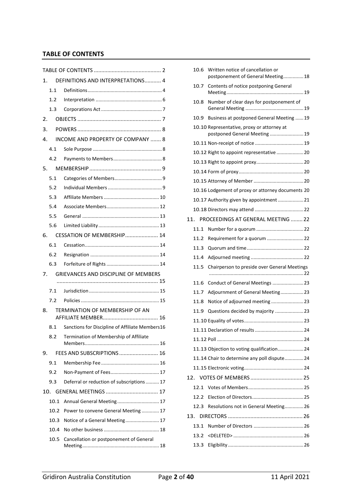# <span id="page-1-0"></span>**TABLE OF CONTENTS**

| 1.   | DEFINITIONS AND INTERPRETATIONS 4               |  |  |
|------|-------------------------------------------------|--|--|
| 1.1  |                                                 |  |  |
| 1.2  |                                                 |  |  |
| 1.3  |                                                 |  |  |
| 2.   |                                                 |  |  |
| 3.   |                                                 |  |  |
| 4.   | INCOME AND PROPERTY OF COMPANY  8               |  |  |
| 4.1  |                                                 |  |  |
| 4.2  |                                                 |  |  |
| 5.   |                                                 |  |  |
| 5.1  |                                                 |  |  |
| 5.2  |                                                 |  |  |
| 5.3  |                                                 |  |  |
| 5.4  |                                                 |  |  |
| 5.5  |                                                 |  |  |
| 5.6  |                                                 |  |  |
| 6.   | CESSATION OF MEMBERSHIP 14                      |  |  |
| 6.1  |                                                 |  |  |
| 6.2  |                                                 |  |  |
| 6.3  |                                                 |  |  |
| 7.   | <b>GRIEVANCES AND DISCIPLINE OF MEMBERS</b>     |  |  |
|      |                                                 |  |  |
| 7.1  |                                                 |  |  |
| 7.2  |                                                 |  |  |
| 8.   | TERMINATION OF MEMBERSHIP OF AN                 |  |  |
| 8.1  | Sanctions for Discipline of Affiliate Members16 |  |  |
| 8.2  | Termination of Membership of Affiliate          |  |  |
|      |                                                 |  |  |
| 9.   | FEES AND SUBSCRIPTIONS  16                      |  |  |
| 9.1  |                                                 |  |  |
| 9.2  |                                                 |  |  |
| 9.3  | Deferral or reduction of subscriptions  17      |  |  |
| 10.  |                                                 |  |  |
| 10.1 | Annual General Meeting 17                       |  |  |
| 10.2 | Power to convene General Meeting  17            |  |  |
| 10.3 | Notice of a General Meeting 17                  |  |  |
| 10.4 |                                                 |  |  |
| 10.5 | Cancellation or postponement of General         |  |  |
|      |                                                 |  |  |

|     | 10.6 | Written notice of cancellation or<br>postponement of General Meeting18 |  |
|-----|------|------------------------------------------------------------------------|--|
|     | 10.7 | Contents of notice postponing General                                  |  |
|     | 10.8 | Number of clear days for postponement of                               |  |
|     | 10.9 | Business at postponed General Meeting  19                              |  |
|     |      | 10.10 Representative, proxy or attorney at                             |  |
|     |      | postponed General Meeting  19                                          |  |
|     |      |                                                                        |  |
|     |      | 10.12 Right to appoint representative 20                               |  |
|     |      |                                                                        |  |
|     |      |                                                                        |  |
|     |      |                                                                        |  |
|     |      | 10.16 Lodgement of proxy or attorney documents 20                      |  |
|     |      | 10.17 Authority given by appointment  21                               |  |
|     |      |                                                                        |  |
| 11. |      | PROCEEDINGS AT GENERAL MEETING  22                                     |  |
|     | 11.1 |                                                                        |  |
|     | 11.2 | Requirement for a quorum  22                                           |  |
|     | 11.3 |                                                                        |  |
|     | 11.4 |                                                                        |  |
|     | 11.5 | Chairperson to preside over General Meetings                           |  |
|     | 11.6 | Conduct of General Meetings 23                                         |  |
|     | 11.7 | Adjournment of General Meeting23                                       |  |
|     | 11.8 | Notice of adjourned meeting23                                          |  |
|     | 11.9 | Questions decided by majority 23                                       |  |
|     |      |                                                                        |  |
|     |      |                                                                        |  |
|     |      |                                                                        |  |
|     |      | 11.13 Objection to voting qualification 24                             |  |
|     |      | 11.14 Chair to determine any poll dispute24                            |  |
|     |      |                                                                        |  |
|     |      |                                                                        |  |
|     | 12.1 |                                                                        |  |
|     | 12.2 |                                                                        |  |
|     | 12.3 | Resolutions not in General Meeting26                                   |  |
|     | 13.  |                                                                        |  |
|     | 13.1 |                                                                        |  |
|     | 13.2 |                                                                        |  |
|     |      |                                                                        |  |
|     | 13.3 |                                                                        |  |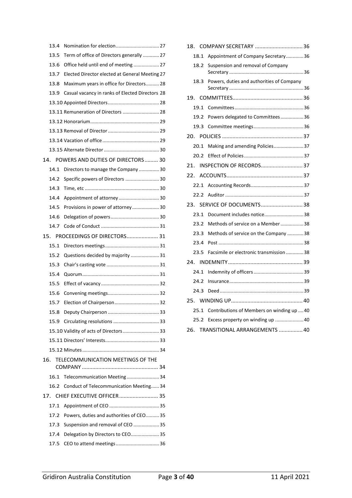|     | 13.4 |                                                 |
|-----|------|-------------------------------------------------|
|     | 13.5 | Term of office of Directors generally  27       |
|     | 13.6 | Office held until end of meeting  27            |
|     | 13.7 | Elected Director elected at General Meeting 27  |
|     | 13.8 | Maximum years in office for Directors 28        |
|     | 13.9 | Casual vacancy in ranks of Elected Directors 28 |
|     |      |                                                 |
|     |      | 13.11 Remuneration of Directors  28             |
|     |      |                                                 |
|     |      |                                                 |
|     |      |                                                 |
|     |      |                                                 |
|     |      | 14. POWERS AND DUTIES OF DIRECTORS 30           |
|     | 14.1 | Directors to manage the Company30               |
|     | 14.2 | Specific powers of Directors  30                |
|     | 14.3 |                                                 |
|     | 14.4 | Appointment of attorney 30                      |
|     | 14.5 |                                                 |
|     | 14.6 |                                                 |
|     | 14.7 |                                                 |
|     |      | 15. PROCEEDINGS OF DIRECTORS 31                 |
|     | 15.1 |                                                 |
|     | 15.2 | Questions decided by majority  31               |
|     | 15.3 |                                                 |
|     | 15.4 |                                                 |
|     | 15.5 |                                                 |
|     | 15.6 |                                                 |
|     | 15.7 | Election of Chairperson 32                      |
|     | 15.8 |                                                 |
|     | 15.9 |                                                 |
|     |      | 15.10 Validity of acts of Directors 33          |
|     |      |                                                 |
|     |      |                                                 |
| 16. |      | TELECOMMUNICATION MEETINGS OF THE               |
|     | 16.1 | Telecommunication Meeting 34                    |
|     | 16.2 | Conduct of Telecommunication Meeting 34         |
|     |      |                                                 |
|     |      |                                                 |
|     | 17.1 |                                                 |
|     | 17.2 | Powers, duties and authorities of CEO 35        |
|     | 17.3 | Suspension and removal of CEO  35               |
|     | 17.4 | Delegation by Directors to CEO 35               |

| 18. |      |                                            |
|-----|------|--------------------------------------------|
|     | 18.1 | Appointment of Company Secretary36         |
|     | 18.2 | Suspension and removal of Company          |
|     | 18.3 | Powers, duties and authorities of Company  |
| 19. |      |                                            |
|     | 19.1 |                                            |
|     | 19.2 | Powers delegated to Committees36           |
|     | 19.3 |                                            |
|     |      |                                            |
|     | 20.1 | Making and amending Policies37             |
|     | 20.2 |                                            |
| 21. |      | <b>INSPECTION OF RECORDS 37</b>            |
|     |      |                                            |
|     | 22.1 |                                            |
|     | 22.2 |                                            |
|     |      | 23. SERVICE OF DOCUMENTS 38                |
|     | 23.1 | Document includes notice38                 |
|     | 23.2 | Methods of service on a Member 38          |
|     | 23.3 | Methods of service on the Company 38       |
|     | 23.4 |                                            |
|     | 23.5 | Facsimile or electronic transmission 38    |
|     |      |                                            |
|     | 24.1 |                                            |
|     | 24.2 |                                            |
|     | 24.3 |                                            |
|     |      |                                            |
|     | 25.1 | Contributions of Members on winding up  40 |
|     | 25.2 | Excess property on winding up  40          |
|     |      | 26. TRANSITIONAL ARRANGEMENTS  40          |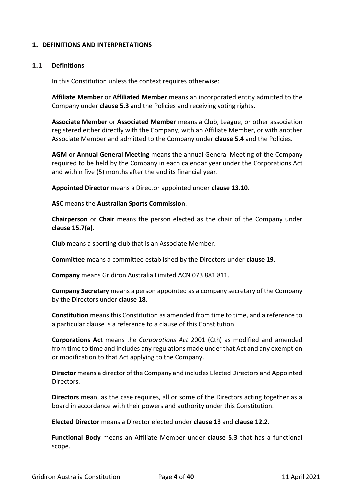## <span id="page-3-0"></span>**1. DEFINITIONS AND INTERPRETATIONS**

### <span id="page-3-1"></span>**1.1 Definitions**

In this Constitution unless the context requires otherwise:

**Affiliate Member** or **Affiliated Member** means an incorporated entity admitted to the Company under **clause 5.3** and the Policies and receiving voting rights.

**Associate Member** or **Associated Member** means a Club, League, or other association registered either directly with the Company, with an Affiliate Member, or with another Associate Member and admitted to the Company under **clause 5.4** and the Policies.

**AGM** or **Annual General Meeting** means the annual General Meeting of the Company required to be held by the Company in each calendar year under the Corporations Act and within five (5) months after the end its financial year.

**Appointed Director** means a Director appointed under **clause 13.10**.

**ASC** means the **Australian Sports Commission**.

**Chairperson** or **Chair** means the person elected as the chair of the Company under **clause 15.7(a).**

**Club** means a sporting club that is an Associate Member.

**Committee** means a committee established by the Directors under **clause 19**.

**Company** means Gridiron Australia Limited ACN 073 881 811.

**Company Secretary** means a person appointed as a company secretary of the Company by the Directors under **clause 18**.

**Constitution** means this Constitution as amended from time to time, and a reference to a particular clause is a reference to a clause of this Constitution.

**Corporations Act** means the *Corporations Act* 2001 (Cth) as modified and amended from time to time and includes any regulations made under that Act and any exemption or modification to that Act applying to the Company.

**Director** means a director of the Company and includes Elected Directors and Appointed Directors.

**Directors** mean, as the case requires, all or some of the Directors acting together as a board in accordance with their powers and authority under this Constitution.

**Elected Director** means a Director elected under **clause 13** and **clause 12.2**.

**Functional Body** means an Affiliate Member under **clause 5.3** that has a functional scope.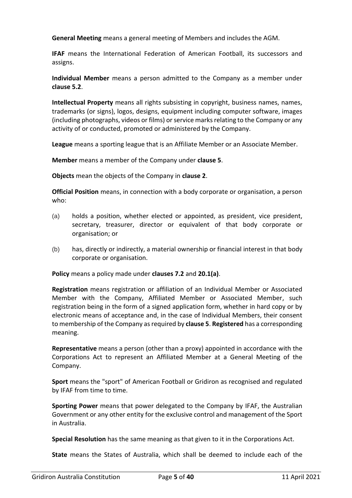**General Meeting** means a general meeting of Members and includes the AGM.

**IFAF** means the International Federation of American Football, its successors and assigns.

**Individual Member** means a person admitted to the Company as a member under **clause 5.2**.

**Intellectual Property** means all rights subsisting in copyright, business names, names, trademarks (or signs), logos, designs, equipment including computer software, images (including photographs, videos or films) or service marks relating to the Company or any activity of or conducted, promoted or administered by the Company.

**League** means a sporting league that is an Affiliate Member or an Associate Member.

**Member** means a member of the Company under **clause 5**.

**Objects** mean the objects of the Company in **clause 2**.

**Official Position** means, in connection with a body corporate or organisation, a person who:

- (a) holds a position, whether elected or appointed, as president, vice president, secretary, treasurer, director or equivalent of that body corporate or organisation; or
- (b) has, directly or indirectly, a material ownership or financial interest in that body corporate or organisation.

**Policy** means a policy made under **clauses 7.2** and **20.1(a)**.

**Registration** means registration or affiliation of an Individual Member or Associated Member with the Company, Affiliated Member or Associated Member, such registration being in the form of a signed application form, whether in hard copy or by electronic means of acceptance and, in the case of Individual Members, their consent to membership of the Company as required by **clause 5**. **Registered** has a corresponding meaning.

**Representative** means a person (other than a proxy) appointed in accordance with the Corporations Act to represent an Affiliated Member at a General Meeting of the Company.

**Sport** means the "sport" of American Football or Gridiron as recognised and regulated by IFAF from time to time.

**Sporting Power** means that power delegated to the Company by IFAF, the Australian Government or any other entity for the exclusive control and management of the Sport in Australia.

**Special Resolution** has the same meaning as that given to it in the Corporations Act.

**State** means the States of Australia, which shall be deemed to include each of the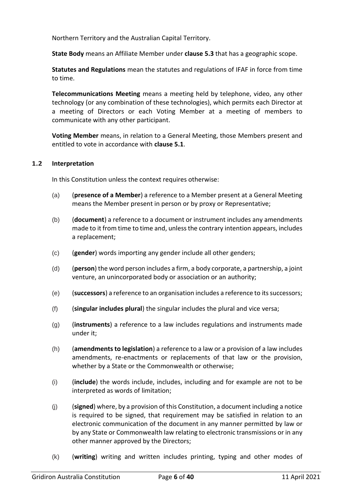Northern Territory and the Australian Capital Territory.

**State Body** means an Affiliate Member under **clause 5.3** that has a geographic scope.

**Statutes and Regulations** mean the statutes and regulations of IFAF in force from time to time.

**Telecommunications Meeting** means a meeting held by telephone, video, any other technology (or any combination of these technologies), which permits each Director at a meeting of Directors or each Voting Member at a meeting of members to communicate with any other participant.

**Voting Member** means, in relation to a General Meeting, those Members present and entitled to vote in accordance with **clause 5.1**.

## <span id="page-5-0"></span>**1.2 Interpretation**

In this Constitution unless the context requires otherwise:

- (a) (**presence of a Member**) a reference to a Member present at a General Meeting means the Member present in person or by proxy or Representative;
- (b) (**document**) a reference to a document or instrument includes any amendments made to it from time to time and, unless the contrary intention appears, includes a replacement;
- (c) (**gender**) words importing any gender include all other genders;
- (d) (**person**) the word person includes a firm, a body corporate, a partnership, a joint venture, an unincorporated body or association or an authority;
- (e) (**successors**) a reference to an organisation includes a reference to its successors;
- (f) (**singular includes plural**) the singular includes the plural and vice versa;
- (g) (**instruments**) a reference to a law includes regulations and instruments made under it;
- (h) (**amendments to legislation**) a reference to a law or a provision of a law includes amendments, re-enactments or replacements of that law or the provision, whether by a State or the Commonwealth or otherwise;
- (i) (**include**) the words include, includes, including and for example are not to be interpreted as words of limitation;
- (j) (**signed**) where, by a provision of this Constitution, a document including a notice is required to be signed, that requirement may be satisfied in relation to an electronic communication of the document in any manner permitted by law or by any State or Commonwealth law relating to electronic transmissions or in any other manner approved by the Directors;
- (k) (**writing**) writing and written includes printing, typing and other modes of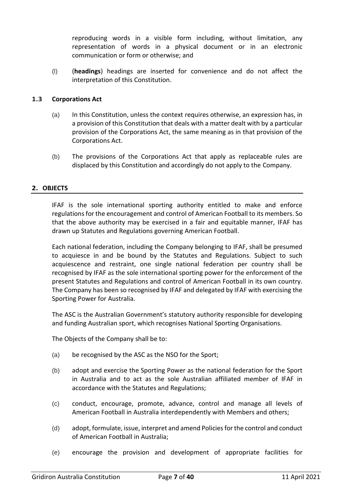reproducing words in a visible form including, without limitation, any representation of words in a physical document or in an electronic communication or form or otherwise; and

(l) (**headings**) headings are inserted for convenience and do not affect the interpretation of this Constitution.

# <span id="page-6-0"></span>**1.3 Corporations Act**

- (a) In this Constitution, unless the context requires otherwise, an expression has, in a provision of this Constitution that deals with a matter dealt with by a particular provision of the Corporations Act, the same meaning as in that provision of the Corporations Act.
- (b) The provisions of the Corporations Act that apply as replaceable rules are displaced by this Constitution and accordingly do not apply to the Company.

## <span id="page-6-1"></span>**2. OBJECTS**

IFAF is the sole international sporting authority entitled to make and enforce regulations for the encouragement and control of American Football to its members. So that the above authority may be exercised in a fair and equitable manner, IFAF has drawn up Statutes and Regulations governing American Football.

Each national federation, including the Company belonging to IFAF, shall be presumed to acquiesce in and be bound by the Statutes and Regulations. Subject to such acquiescence and restraint, one single national federation per country shall be recognised by IFAF as the sole international sporting power for the enforcement of the present Statutes and Regulations and control of American Football in its own country. The Company has been so recognised by IFAF and delegated by IFAF with exercising the Sporting Power for Australia.

The ASC is the Australian Government's statutory authority responsible for developing and funding Australian sport, which recognises National Sporting Organisations.

The Objects of the Company shall be to:

- (a) be recognised by the ASC as the NSO for the Sport;
- (b) adopt and exercise the Sporting Power as the national federation for the Sport in Australia and to act as the sole Australian affiliated member of IFAF in accordance with the Statutes and Regulations;
- (c) conduct, encourage, promote, advance, control and manage all levels of American Football in Australia interdependently with Members and others;
- (d) adopt, formulate, issue, interpret and amend Policies for the control and conduct of American Football in Australia;
- (e) encourage the provision and development of appropriate facilities for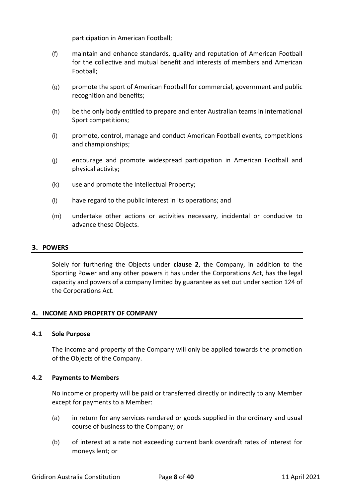participation in American Football;

- (f) maintain and enhance standards, quality and reputation of American Football for the collective and mutual benefit and interests of members and American Football;
- (g) promote the sport of American Football for commercial, government and public recognition and benefits;
- (h) be the only body entitled to prepare and enter Australian teams in international Sport competitions;
- (i) promote, control, manage and conduct American Football events, competitions and championships;
- (j) encourage and promote widespread participation in American Football and physical activity;
- (k) use and promote the Intellectual Property;
- (l) have regard to the public interest in its operations; and
- (m) undertake other actions or activities necessary, incidental or conducive to advance these Objects.

## <span id="page-7-0"></span>**3. POWERS**

Solely for furthering the Objects under **clause 2**, the Company, in addition to the Sporting Power and any other powers it has under the Corporations Act, has the legal capacity and powers of a company limited by guarantee as set out under section 124 of the Corporations Act.

## <span id="page-7-1"></span>**4. INCOME AND PROPERTY OF COMPANY**

#### <span id="page-7-2"></span>**4.1 Sole Purpose**

The income and property of the Company will only be applied towards the promotion of the Objects of the Company.

## <span id="page-7-3"></span>**4.2 Payments to Members**

No income or property will be paid or transferred directly or indirectly to any Member except for payments to a Member:

- (a) in return for any services rendered or goods supplied in the ordinary and usual course of business to the Company; or
- (b) of interest at a rate not exceeding current bank overdraft rates of interest for moneys lent; or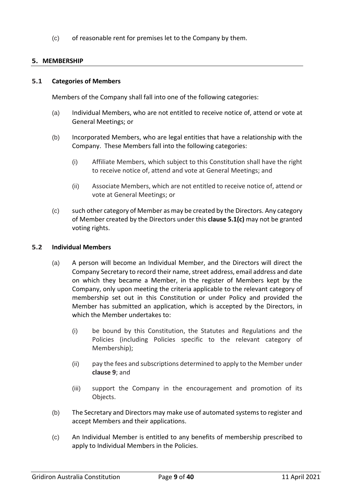(c) of reasonable rent for premises let to the Company by them.

# <span id="page-8-0"></span>**5. MEMBERSHIP**

#### <span id="page-8-1"></span>**5.1 Categories of Members**

Members of the Company shall fall into one of the following categories:

- (a) Individual Members, who are not entitled to receive notice of, attend or vote at General Meetings; or
- (b) Incorporated Members, who are legal entities that have a relationship with the Company. These Members fall into the following categories:
	- (i) Affiliate Members, which subject to this Constitution shall have the right to receive notice of, attend and vote at General Meetings; and
	- (ii) Associate Members, which are not entitled to receive notice of, attend or vote at General Meetings; or
- (c) such other category of Member as may be created by the Directors. Any category of Member created by the Directors under this **clause 5.1(c)** may not be granted voting rights.

## <span id="page-8-2"></span>**5.2 Individual Members**

- (a) A person will become an Individual Member, and the Directors will direct the Company Secretary to record their name, street address, email address and date on which they became a Member, in the register of Members kept by the Company, only upon meeting the criteria applicable to the relevant category of membership set out in this Constitution or under Policy and provided the Member has submitted an application, which is accepted by the Directors, in which the Member undertakes to:
	- (i) be bound by this Constitution, the Statutes and Regulations and the Policies (including Policies specific to the relevant category of Membership);
	- (ii) pay the fees and subscriptions determined to apply to the Member under **clause 9**; and
	- (iii) support the Company in the encouragement and promotion of its Objects.
- (b) The Secretary and Directors may make use of automated systems to register and accept Members and their applications.
- (c) An Individual Member is entitled to any benefits of membership prescribed to apply to Individual Members in the Policies.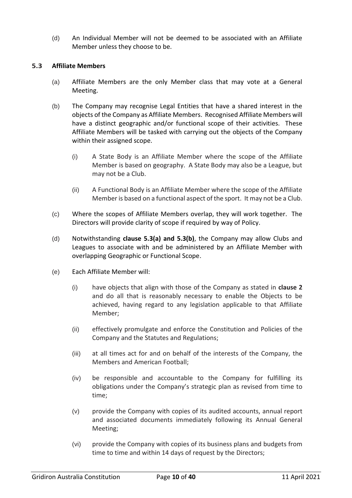(d) An Individual Member will not be deemed to be associated with an Affiliate Member unless they choose to be.

## <span id="page-9-0"></span>**5.3 Affiliate Members**

- (a) Affiliate Members are the only Member class that may vote at a General Meeting.
- (b) The Company may recognise Legal Entities that have a shared interest in the objects of the Company as Affiliate Members. Recognised Affiliate Members will have a distinct geographic and/or functional scope of their activities. These Affiliate Members will be tasked with carrying out the objects of the Company within their assigned scope.
	- (i) A State Body is an Affiliate Member where the scope of the Affiliate Member is based on geography. A State Body may also be a League, but may not be a Club.
	- (ii) A Functional Body is an Affiliate Member where the scope of the Affiliate Member is based on a functional aspect of the sport. It may not be a Club.
- (c) Where the scopes of Affiliate Members overlap, they will work together. The Directors will provide clarity of scope if required by way of Policy.
- (d) Notwithstanding **clause 5.3(a) and 5.3(b)**, the Company may allow Clubs and Leagues to associate with and be administered by an Affiliate Member with overlapping Geographic or Functional Scope.
- (e) Each Affiliate Member will:
	- (i) have objects that align with those of the Company as stated in **clause 2**  and do all that is reasonably necessary to enable the Objects to be achieved, having regard to any legislation applicable to that Affiliate Member;
	- (ii) effectively promulgate and enforce the Constitution and Policies of the Company and the Statutes and Regulations;
	- (iii) at all times act for and on behalf of the interests of the Company, the Members and American Football;
	- (iv) be responsible and accountable to the Company for fulfilling its obligations under the Company's strategic plan as revised from time to time;
	- (v) provide the Company with copies of its audited accounts, annual report and associated documents immediately following its Annual General Meeting;
	- (vi) provide the Company with copies of its business plans and budgets from time to time and within 14 days of request by the Directors;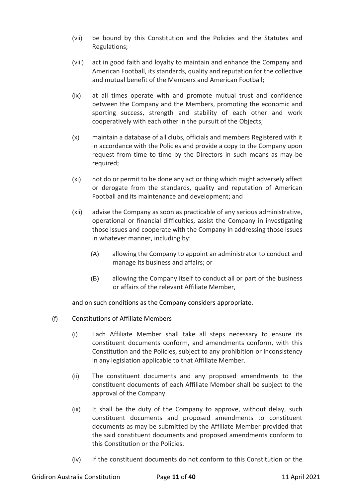- (vii) be bound by this Constitution and the Policies and the Statutes and Regulations;
- (viii) act in good faith and loyalty to maintain and enhance the Company and American Football, its standards, quality and reputation for the collective and mutual benefit of the Members and American Football;
- (ix) at all times operate with and promote mutual trust and confidence between the Company and the Members, promoting the economic and sporting success, strength and stability of each other and work cooperatively with each other in the pursuit of the Objects;
- (x) maintain a database of all clubs, officials and members Registered with it in accordance with the Policies and provide a copy to the Company upon request from time to time by the Directors in such means as may be required;
- (xi) not do or permit to be done any act or thing which might adversely affect or derogate from the standards, quality and reputation of American Football and its maintenance and development; and
- (xii) advise the Company as soon as practicable of any serious administrative, operational or financial difficulties, assist the Company in investigating those issues and cooperate with the Company in addressing those issues in whatever manner, including by:
	- (A) allowing the Company to appoint an administrator to conduct and manage its business and affairs; or
	- (B) allowing the Company itself to conduct all or part of the business or affairs of the relevant Affiliate Member,

and on such conditions as the Company considers appropriate.

- (f) Constitutions of Affiliate Members
	- (i) Each Affiliate Member shall take all steps necessary to ensure its constituent documents conform, and amendments conform, with this Constitution and the Policies, subject to any prohibition or inconsistency in any legislation applicable to that Affiliate Member.
	- (ii) The constituent documents and any proposed amendments to the constituent documents of each Affiliate Member shall be subject to the approval of the Company.
	- (iii) It shall be the duty of the Company to approve, without delay, such constituent documents and proposed amendments to constituent documents as may be submitted by the Affiliate Member provided that the said constituent documents and proposed amendments conform to this Constitution or the Policies.
	- (iv) If the constituent documents do not conform to this Constitution or the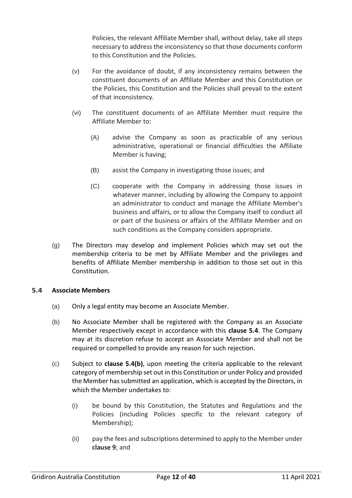Policies, the relevant Affiliate Member shall, without delay, take all steps necessary to address the inconsistency so that those documents conform to this Constitution and the Policies.

- (v) For the avoidance of doubt, if any inconsistency remains between the constituent documents of an Affiliate Member and this Constitution or the Policies, this Constitution and the Policies shall prevail to the extent of that inconsistency.
- (vi) The constituent documents of an Affiliate Member must require the Affiliate Member to:
	- (A) advise the Company as soon as practicable of any serious administrative, operational or financial difficulties the Affiliate Member is having;
	- (B) assist the Company in investigating those issues; and
	- (C) cooperate with the Company in addressing those issues in whatever manner, including by allowing the Company to appoint an administrator to conduct and manage the Affiliate Member's business and affairs, or to allow the Company itself to conduct all or part of the business or affairs of the Affiliate Member and on such conditions as the Company considers appropriate.
- (g) The Directors may develop and implement Policies which may set out the membership criteria to be met by Affiliate Member and the privileges and benefits of Affiliate Member membership in addition to those set out in this Constitution.

# <span id="page-11-0"></span>**5.4 Associate Members**

- (a) Only a legal entity may become an Associate Member.
- (b) No Associate Member shall be registered with the Company as an Associate Member respectively except in accordance with this **clause 5.4**. The Company may at its discretion refuse to accept an Associate Member and shall not be required or compelled to provide any reason for such rejection.
- (c) Subject to **clause 5.4(b)**, upon meeting the criteria applicable to the relevant category of membership set out in this Constitution or under Policy and provided the Member has submitted an application, which is accepted by the Directors, in which the Member undertakes to:
	- (i) be bound by this Constitution, the Statutes and Regulations and the Policies (including Policies specific to the relevant category of Membership);
	- (ii) pay the fees and subscriptions determined to apply to the Member under **clause 9**; and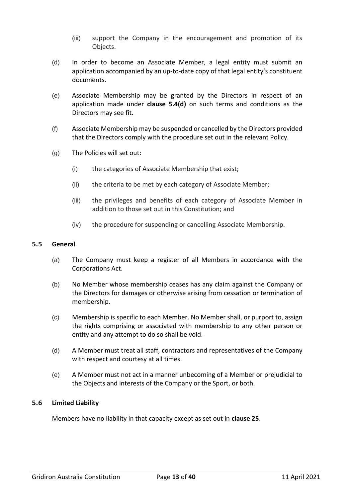- (iii) support the Company in the encouragement and promotion of its Objects.
- (d) In order to become an Associate Member, a legal entity must submit an application accompanied by an up-to-date copy of that legal entity's constituent documents.
- (e) Associate Membership may be granted by the Directors in respect of an application made under **clause 5.4(d)** on such terms and conditions as the Directors may see fit.
- (f) Associate Membership may be suspended or cancelled by the Directors provided that the Directors comply with the procedure set out in the relevant Policy.
- (g) The Policies will set out:
	- (i) the categories of Associate Membership that exist;
	- (ii) the criteria to be met by each category of Associate Member;
	- (iii) the privileges and benefits of each category of Associate Member in addition to those set out in this Constitution; and
	- (iv) the procedure for suspending or cancelling Associate Membership.

#### <span id="page-12-0"></span>**5.5 General**

- (a) The Company must keep a register of all Members in accordance with the Corporations Act.
- (b) No Member whose membership ceases has any claim against the Company or the Directors for damages or otherwise arising from cessation or termination of membership.
- (c) Membership is specific to each Member. No Member shall, or purport to, assign the rights comprising or associated with membership to any other person or entity and any attempt to do so shall be void.
- (d) A Member must treat all staff, contractors and representatives of the Company with respect and courtesy at all times.
- (e) A Member must not act in a manner unbecoming of a Member or prejudicial to the Objects and interests of the Company or the Sport, or both.

## <span id="page-12-1"></span>**5.6 Limited Liability**

Members have no liability in that capacity except as set out in **clause 25**.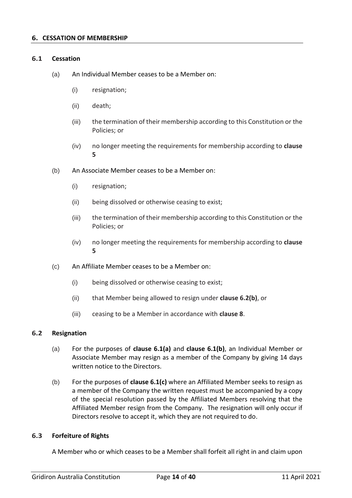#### <span id="page-13-1"></span><span id="page-13-0"></span>**6.1 Cessation**

- (a) An Individual Member ceases to be a Member on:
	- (i) resignation;
	- (ii) death;
	- (iii) the termination of their membership according to this Constitution or the Policies; or
	- (iv) no longer meeting the requirements for membership according to **clause 5**
- (b) An Associate Member ceases to be a Member on:
	- (i) resignation;
	- (ii) being dissolved or otherwise ceasing to exist;
	- (iii) the termination of their membership according to this Constitution or the Policies; or
	- (iv) no longer meeting the requirements for membership according to **clause 5**
- (c) An Affiliate Member ceases to be a Member on:
	- (i) being dissolved or otherwise ceasing to exist;
	- (ii) that Member being allowed to resign under **clause 6.2(b)**, or
	- (iii) ceasing to be a Member in accordance with **clause 8**.

## <span id="page-13-2"></span>**6.2 Resignation**

- (a) For the purposes of **clause 6.1(a)** and **clause 6.1(b)**, an Individual Member or Associate Member may resign as a member of the Company by giving 14 days written notice to the Directors.
- (b) For the purposes of **clause 6.1(c)** where an Affiliated Member seeks to resign as a member of the Company the written request must be accompanied by a copy of the special resolution passed by the Affiliated Members resolving that the Affiliated Member resign from the Company. The resignation will only occur if Directors resolve to accept it, which they are not required to do.

## <span id="page-13-3"></span>**6.3 Forfeiture of Rights**

A Member who or which ceases to be a Member shall forfeit all right in and claim upon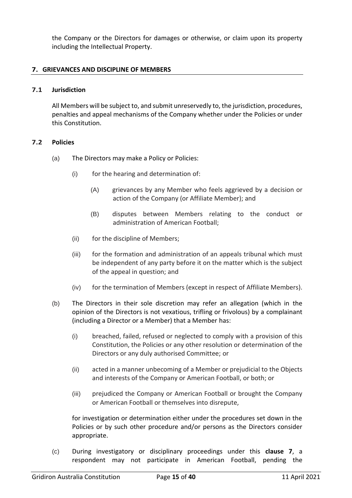the Company or the Directors for damages or otherwise, or claim upon its property including the Intellectual Property.

## <span id="page-14-0"></span>**7. GRIEVANCES AND DISCIPLINE OF MEMBERS**

### <span id="page-14-1"></span>**7.1 Jurisdiction**

All Members will be subject to, and submit unreservedly to, the jurisdiction, procedures, penalties and appeal mechanisms of the Company whether under the Policies or under this Constitution.

#### <span id="page-14-2"></span>**7.2 Policies**

- (a) The Directors may make a Policy or Policies:
	- (i) for the hearing and determination of:
		- (A) grievances by any Member who feels aggrieved by a decision or action of the Company (or Affiliate Member); and
		- (B) disputes between Members relating to the conduct or administration of American Football;
	- (ii) for the discipline of Members;
	- (iii) for the formation and administration of an appeals tribunal which must be independent of any party before it on the matter which is the subject of the appeal in question; and
	- (iv) for the termination of Members (except in respect of Affiliate Members).
- (b) The Directors in their sole discretion may refer an allegation (which in the opinion of the Directors is not vexatious, trifling or frivolous) by a complainant (including a Director or a Member) that a Member has:
	- (i) breached, failed, refused or neglected to comply with a provision of this Constitution, the Policies or any other resolution or determination of the Directors or any duly authorised Committee; or
	- (ii) acted in a manner unbecoming of a Member or prejudicial to the Objects and interests of the Company or American Football, or both; or
	- (iii) prejudiced the Company or American Football or brought the Company or American Football or themselves into disrepute,

for investigation or determination either under the procedures set down in the Policies or by such other procedure and/or persons as the Directors consider appropriate.

(c) During investigatory or disciplinary proceedings under this **clause 7**, a respondent may not participate in American Football, pending the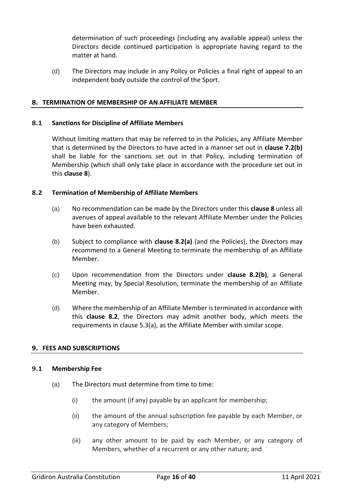determination of such proceedings (including any available appeal) unless the Directors decide continued participation is appropriate having regard to the matter at hand.

(d) The Directors may include in any Policy or Policies a final right of appeal to an independent body outside the control of the Sport.

## <span id="page-15-0"></span>**8. TERMINATION OF MEMBERSHIP OF AN AFFILIATE MEMBER**

### <span id="page-15-1"></span>**8.1 Sanctions for Discipline of Affiliate Members**

Without limiting matters that may be referred to in the Policies, any Affiliate Member that is determined by the Directors to have acted in a manner set out in **clause 7.2(b)** shall be liable for the sanctions set out in that Policy, including termination of Membership (which shall only take place in accordance with the procedure set out in this **clause 8**).

## <span id="page-15-2"></span>**8.2 Termination of Membership of Affiliate Members**

- (a) No recommendation can be made by the Directors under this **clause 8** unless all avenues of appeal available to the relevant Affiliate Member under the Policies have been exhausted.
- (b) Subject to compliance with **clause 8.2(a)** (and the Policies), the Directors may recommend to a General Meeting to terminate the membership of an Affiliate Member.
- (c) Upon recommendation from the Directors under **clause 8.2(b)**, a General Meeting may, by Special Resolution, terminate the membership of an Affiliate Member.
- (d) Where the membership of an Affiliate Member is terminated in accordance with this **clause 8.2**, the Directors may admit another body, which meets the requirements in clause 5.3(a), as the Affiliate Member with similar scope.

## <span id="page-15-3"></span>**9. FEES AND SUBSCRIPTIONS**

## <span id="page-15-4"></span>**9.1 Membership Fee**

- (a) The Directors must determine from time to time:
	- (i) the amount (if any) payable by an applicant for membership;
	- (ii) the amount of the annual subscription fee payable by each Member, or any category of Members;
	- (iii) any other amount to be paid by each Member, or any category of Members, whether of a recurrent or any other nature; and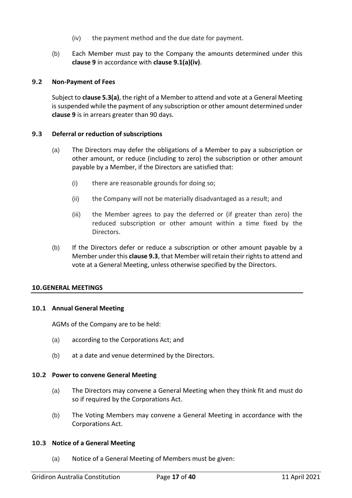- (iv) the payment method and the due date for payment.
- (b) Each Member must pay to the Company the amounts determined under this **clause 9** in accordance with **clause 9.1(a)(iv)**.

## <span id="page-16-0"></span>**9.2 Non-Payment of Fees**

Subject to **clause 5.3(a)**, the right of a Member to attend and vote at a General Meeting is suspended while the payment of any subscription or other amount determined under **clause 9** is in arrears greater than 90 days.

## <span id="page-16-1"></span>**9.3 Deferral or reduction of subscriptions**

- (a) The Directors may defer the obligations of a Member to pay a subscription or other amount, or reduce (including to zero) the subscription or other amount payable by a Member, if the Directors are satisfied that:
	- (i) there are reasonable grounds for doing so;
	- (ii) the Company will not be materially disadvantaged as a result; and
	- (iii) the Member agrees to pay the deferred or (if greater than zero) the reduced subscription or other amount within a time fixed by the Directors.
- (b) If the Directors defer or reduce a subscription or other amount payable by a Member under this **clause 9.3**, that Member will retain their rights to attend and vote at a General Meeting, unless otherwise specified by the Directors.

## <span id="page-16-2"></span>**10.GENERAL MEETINGS**

## <span id="page-16-3"></span>**10.1 Annual General Meeting**

AGMs of the Company are to be held:

- (a) according to the Corporations Act; and
- (b) at a date and venue determined by the Directors.

## <span id="page-16-4"></span>**10.2 Power to convene General Meeting**

- (a) The Directors may convene a General Meeting when they think fit and must do so if required by the Corporations Act.
- (b) The Voting Members may convene a General Meeting in accordance with the Corporations Act.

## <span id="page-16-5"></span>**10.3 Notice of a General Meeting**

(a) Notice of a General Meeting of Members must be given: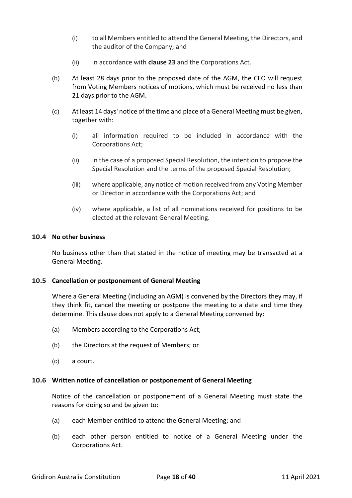- (i) to all Members entitled to attend the General Meeting, the Directors, and the auditor of the Company; and
- (ii) in accordance with **clause 23** and the Corporations Act.
- (b) At least 28 days prior to the proposed date of the AGM, the CEO will request from Voting Members notices of motions, which must be received no less than 21 days prior to the AGM.
- (c) At least 14 days' notice of the time and place of a General Meeting must be given, together with:
	- (i) all information required to be included in accordance with the Corporations Act;
	- (ii) in the case of a proposed Special Resolution, the intention to propose the Special Resolution and the terms of the proposed Special Resolution;
	- (iii) where applicable, any notice of motion received from any Voting Member or Director in accordance with the Corporations Act; and
	- (iv) where applicable, a list of all nominations received for positions to be elected at the relevant General Meeting.

## <span id="page-17-0"></span>**10.4 No other business**

No business other than that stated in the notice of meeting may be transacted at a General Meeting.

## <span id="page-17-1"></span>**10.5 Cancellation or postponement of General Meeting**

Where a General Meeting (including an AGM) is convened by the Directors they may, if they think fit, cancel the meeting or postpone the meeting to a date and time they determine. This clause does not apply to a General Meeting convened by:

- (a) Members according to the Corporations Act;
- (b) the Directors at the request of Members; or
- (c) a court.

## <span id="page-17-2"></span>**10.6 Written notice of cancellation or postponement of General Meeting**

Notice of the cancellation or postponement of a General Meeting must state the reasons for doing so and be given to:

- (a) each Member entitled to attend the General Meeting; and
- (b) each other person entitled to notice of a General Meeting under the Corporations Act.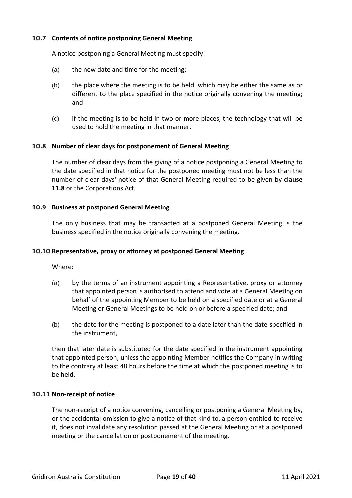# <span id="page-18-0"></span>**10.7 Contents of notice postponing General Meeting**

A notice postponing a General Meeting must specify:

- (a) the new date and time for the meeting;
- (b) the place where the meeting is to be held, which may be either the same as or different to the place specified in the notice originally convening the meeting; and
- (c) if the meeting is to be held in two or more places, the technology that will be used to hold the meeting in that manner.

## <span id="page-18-1"></span>**10.8 Number of clear days for postponement of General Meeting**

The number of clear days from the giving of a notice postponing a General Meeting to the date specified in that notice for the postponed meeting must not be less than the number of clear days' notice of that General Meeting required to be given by **clause 11.8** or the Corporations Act.

#### <span id="page-18-2"></span>**10.9 Business at postponed General Meeting**

The only business that may be transacted at a postponed General Meeting is the business specified in the notice originally convening the meeting.

### <span id="page-18-3"></span>**10.10 Representative, proxy or attorney at postponed General Meeting**

Where:

- (a) by the terms of an instrument appointing a Representative, proxy or attorney that appointed person is authorised to attend and vote at a General Meeting on behalf of the appointing Member to be held on a specified date or at a General Meeting or General Meetings to be held on or before a specified date; and
- (b) the date for the meeting is postponed to a date later than the date specified in the instrument,

then that later date is substituted for the date specified in the instrument appointing that appointed person, unless the appointing Member notifies the Company in writing to the contrary at least 48 hours before the time at which the postponed meeting is to be held.

#### <span id="page-18-4"></span>**10.11 Non-receipt of notice**

The non-receipt of a notice convening, cancelling or postponing a General Meeting by, or the accidental omission to give a notice of that kind to, a person entitled to receive it, does not invalidate any resolution passed at the General Meeting or at a postponed meeting or the cancellation or postponement of the meeting.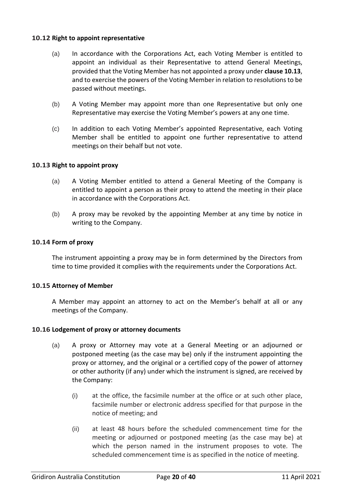## <span id="page-19-0"></span>**10.12 Right to appoint representative**

- (a) In accordance with the Corporations Act, each Voting Member is entitled to appoint an individual as their Representative to attend General Meetings, provided that the Voting Member has not appointed a proxy under **clause 10.13**, and to exercise the powers of the Voting Member in relation to resolutions to be passed without meetings.
- (b) A Voting Member may appoint more than one Representative but only one Representative may exercise the Voting Member's powers at any one time.
- (c) In addition to each Voting Member's appointed Representative, each Voting Member shall be entitled to appoint one further representative to attend meetings on their behalf but not vote.

## <span id="page-19-1"></span>**10.13 Right to appoint proxy**

- (a) A Voting Member entitled to attend a General Meeting of the Company is entitled to appoint a person as their proxy to attend the meeting in their place in accordance with the Corporations Act.
- (b) A proxy may be revoked by the appointing Member at any time by notice in writing to the Company.

## <span id="page-19-2"></span>**10.14 Form of proxy**

The instrument appointing a proxy may be in form determined by the Directors from time to time provided it complies with the requirements under the Corporations Act.

## <span id="page-19-3"></span>**10.15 Attorney of Member**

A Member may appoint an attorney to act on the Member's behalf at all or any meetings of the Company.

## <span id="page-19-4"></span>**10.16 Lodgement of proxy or attorney documents**

- (a) A proxy or Attorney may vote at a General Meeting or an adjourned or postponed meeting (as the case may be) only if the instrument appointing the proxy or attorney, and the original or a certified copy of the power of attorney or other authority (if any) under which the instrument is signed, are received by the Company:
	- (i) at the office, the facsimile number at the office or at such other place, facsimile number or electronic address specified for that purpose in the notice of meeting; and
	- (ii) at least 48 hours before the scheduled commencement time for the meeting or adjourned or postponed meeting (as the case may be) at which the person named in the instrument proposes to vote. The scheduled commencement time is as specified in the notice of meeting.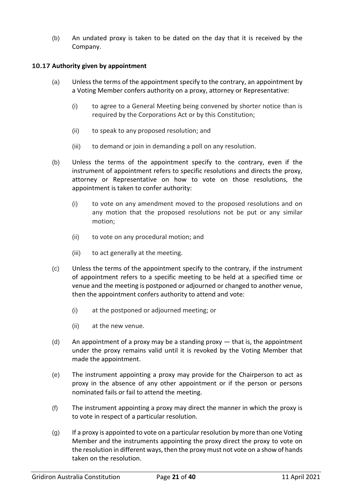(b) An undated proxy is taken to be dated on the day that it is received by the Company.

## <span id="page-20-0"></span>**10.17 Authority given by appointment**

- (a) Unless the terms of the appointment specify to the contrary, an appointment by a Voting Member confers authority on a proxy, attorney or Representative:
	- (i) to agree to a General Meeting being convened by shorter notice than is required by the Corporations Act or by this Constitution;
	- (ii) to speak to any proposed resolution; and
	- (iii) to demand or join in demanding a poll on any resolution.
- (b) Unless the terms of the appointment specify to the contrary, even if the instrument of appointment refers to specific resolutions and directs the proxy, attorney or Representative on how to vote on those resolutions, the appointment is taken to confer authority:
	- (i) to vote on any amendment moved to the proposed resolutions and on any motion that the proposed resolutions not be put or any similar motion;
	- (ii) to vote on any procedural motion; and
	- (iii) to act generally at the meeting.
- (c) Unless the terms of the appointment specify to the contrary, if the instrument of appointment refers to a specific meeting to be held at a specified time or venue and the meeting is postponed or adjourned or changed to another venue, then the appointment confers authority to attend and vote:
	- (i) at the postponed or adjourned meeting; or
	- (ii) at the new venue.
- (d) An appointment of a proxy may be a standing proxy that is, the appointment under the proxy remains valid until it is revoked by the Voting Member that made the appointment.
- (e) The instrument appointing a proxy may provide for the Chairperson to act as proxy in the absence of any other appointment or if the person or persons nominated fails or fail to attend the meeting.
- (f) The instrument appointing a proxy may direct the manner in which the proxy is to vote in respect of a particular resolution.
- (g) If a proxy is appointed to vote on a particular resolution by more than one Voting Member and the instruments appointing the proxy direct the proxy to vote on the resolution in different ways, then the proxy must not vote on a show of hands taken on the resolution.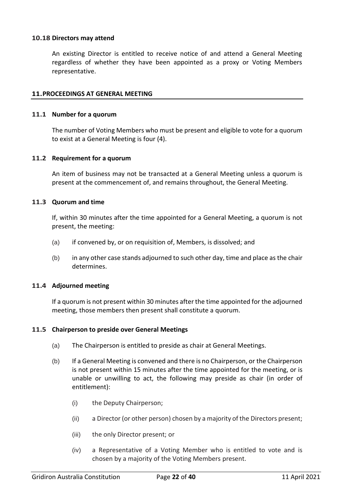## <span id="page-21-0"></span>**10.18 Directors may attend**

An existing Director is entitled to receive notice of and attend a General Meeting regardless of whether they have been appointed as a proxy or Voting Members representative.

## <span id="page-21-1"></span>**11.PROCEEDINGS AT GENERAL MEETING**

### <span id="page-21-2"></span>**11.1 Number for a quorum**

The number of Voting Members who must be present and eligible to vote for a quorum to exist at a General Meeting is four (4).

## <span id="page-21-3"></span>**11.2 Requirement for a quorum**

An item of business may not be transacted at a General Meeting unless a quorum is present at the commencement of, and remains throughout, the General Meeting.

#### <span id="page-21-4"></span>**11.3 Quorum and time**

If, within 30 minutes after the time appointed for a General Meeting, a quorum is not present, the meeting:

- (a) if convened by, or on requisition of, Members, is dissolved; and
- (b) in any other case stands adjourned to such other day, time and place as the chair determines.

## <span id="page-21-5"></span>**11.4 Adjourned meeting**

If a quorum is not present within 30 minutes after the time appointed for the adjourned meeting, those members then present shall constitute a quorum.

## <span id="page-21-6"></span>**11.5 Chairperson to preside over General Meetings**

- (a) The Chairperson is entitled to preside as chair at General Meetings.
- (b) If a General Meeting is convened and there is no Chairperson, or the Chairperson is not present within 15 minutes after the time appointed for the meeting, or is unable or unwilling to act, the following may preside as chair (in order of entitlement):
	- (i) the Deputy Chairperson;
	- (ii) a Director (or other person) chosen by a majority of the Directors present;
	- (iii) the only Director present; or
	- (iv) a Representative of a Voting Member who is entitled to vote and is chosen by a majority of the Voting Members present.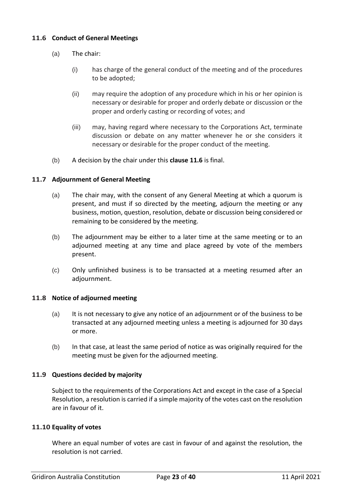## <span id="page-22-0"></span>**11.6 Conduct of General Meetings**

- (a) The chair:
	- (i) has charge of the general conduct of the meeting and of the procedures to be adopted;
	- (ii) may require the adoption of any procedure which in his or her opinion is necessary or desirable for proper and orderly debate or discussion or the proper and orderly casting or recording of votes; and
	- (iii) may, having regard where necessary to the Corporations Act, terminate discussion or debate on any matter whenever he or she considers it necessary or desirable for the proper conduct of the meeting.
- (b) A decision by the chair under this **clause 11.6** is final.

## <span id="page-22-1"></span>**11.7 Adjournment of General Meeting**

- (a) The chair may, with the consent of any General Meeting at which a quorum is present, and must if so directed by the meeting, adjourn the meeting or any business, motion, question, resolution, debate or discussion being considered or remaining to be considered by the meeting.
- (b) The adjournment may be either to a later time at the same meeting or to an adjourned meeting at any time and place agreed by vote of the members present.
- (c) Only unfinished business is to be transacted at a meeting resumed after an adjournment.

## <span id="page-22-2"></span>**11.8 Notice of adjourned meeting**

- (a) It is not necessary to give any notice of an adjournment or of the business to be transacted at any adjourned meeting unless a meeting is adjourned for 30 days or more.
- (b) In that case, at least the same period of notice as was originally required for the meeting must be given for the adjourned meeting.

## <span id="page-22-3"></span>**11.9 Questions decided by majority**

Subject to the requirements of the Corporations Act and except in the case of a Special Resolution, a resolution is carried if a simple majority of the votes cast on the resolution are in favour of it.

## <span id="page-22-4"></span>**11.10 Equality of votes**

Where an equal number of votes are cast in favour of and against the resolution, the resolution is not carried.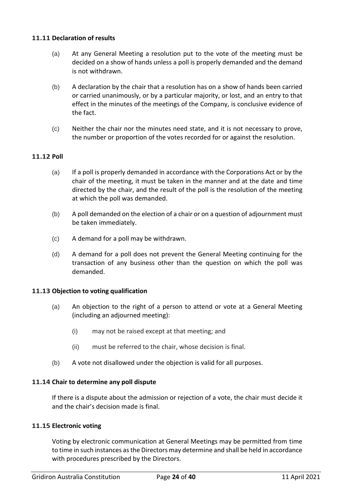## <span id="page-23-0"></span>**11.11 Declaration of results**

- (a) At any General Meeting a resolution put to the vote of the meeting must be decided on a show of hands unless a poll is properly demanded and the demand is not withdrawn.
- (b) A declaration by the chair that a resolution has on a show of hands been carried or carried unanimously, or by a particular majority, or lost, and an entry to that effect in the minutes of the meetings of the Company, is conclusive evidence of the fact.
- (c) Neither the chair nor the minutes need state, and it is not necessary to prove, the number or proportion of the votes recorded for or against the resolution.

# <span id="page-23-1"></span>**11.12 Poll**

- (a) If a poll is properly demanded in accordance with the Corporations Act or by the chair of the meeting, it must be taken in the manner and at the date and time directed by the chair, and the result of the poll is the resolution of the meeting at which the poll was demanded.
- (b) A poll demanded on the election of a chair or on a question of adjournment must be taken immediately.
- (c) A demand for a poll may be withdrawn.
- (d) A demand for a poll does not prevent the General Meeting continuing for the transaction of any business other than the question on which the poll was demanded.

## <span id="page-23-2"></span>**11.13 Objection to voting qualification**

- (a) An objection to the right of a person to attend or vote at a General Meeting (including an adjourned meeting):
	- (i) may not be raised except at that meeting; and
	- (ii) must be referred to the chair, whose decision is final.
- (b) A vote not disallowed under the objection is valid for all purposes.

## <span id="page-23-3"></span>**11.14 Chair to determine any poll dispute**

If there is a dispute about the admission or rejection of a vote, the chair must decide it and the chair's decision made is final.

## <span id="page-23-4"></span>**11.15 Electronic voting**

Voting by electronic communication at General Meetings may be permitted from time to time in such instances as the Directors may determine and shall be held in accordance with procedures prescribed by the Directors.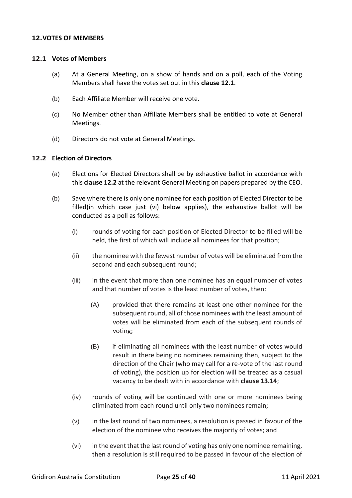### <span id="page-24-1"></span><span id="page-24-0"></span>**12.1 Votes of Members**

- (a) At a General Meeting, on a show of hands and on a poll, each of the Voting Members shall have the votes set out in this **clause 12.1**.
- (b) Each Affiliate Member will receive one vote.
- (c) No Member other than Affiliate Members shall be entitled to vote at General Meetings.
- (d) Directors do not vote at General Meetings.

## <span id="page-24-2"></span>**12.2 Election of Directors**

- (a) Elections for Elected Directors shall be by exhaustive ballot in accordance with this **clause 12.2** at the relevant General Meeting on papers prepared by the CEO.
- (b) Save where there is only one nominee for each position of Elected Director to be filled(in which case just (vi) below applies), the exhaustive ballot will be conducted as a poll as follows:
	- (i) rounds of voting for each position of Elected Director to be filled will be held, the first of which will include all nominees for that position;
	- (ii) the nominee with the fewest number of votes will be eliminated from the second and each subsequent round;
	- (iii) in the event that more than one nominee has an equal number of votes and that number of votes is the least number of votes, then:
		- (A) provided that there remains at least one other nominee for the subsequent round, all of those nominees with the least amount of votes will be eliminated from each of the subsequent rounds of voting;
		- (B) if eliminating all nominees with the least number of votes would result in there being no nominees remaining then, subject to the direction of the Chair (who may call for a re-vote of the last round of voting), the position up for election will be treated as a casual vacancy to be dealt with in accordance with **clause 13.14**;
	- (iv) rounds of voting will be continued with one or more nominees being eliminated from each round until only two nominees remain;
	- (v) in the last round of two nominees, a resolution is passed in favour of the election of the nominee who receives the majority of votes; and
	- (vi) in the event that the last round of voting has only one nominee remaining, then a resolution is still required to be passed in favour of the election of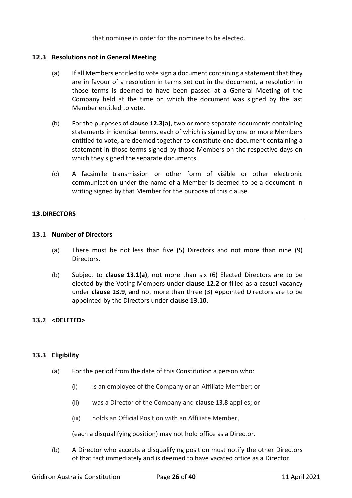that nominee in order for the nominee to be elected.

## <span id="page-25-0"></span>**12.3 Resolutions not in General Meeting**

- (a) If all Members entitled to vote sign a document containing a statement that they are in favour of a resolution in terms set out in the document, a resolution in those terms is deemed to have been passed at a General Meeting of the Company held at the time on which the document was signed by the last Member entitled to vote.
- (b) For the purposes of **clause 12.3(a)**, two or more separate documents containing statements in identical terms, each of which is signed by one or more Members entitled to vote, are deemed together to constitute one document containing a statement in those terms signed by those Members on the respective days on which they signed the separate documents.
- (c) A facsimile transmission or other form of visible or other electronic communication under the name of a Member is deemed to be a document in writing signed by that Member for the purpose of this clause.

## <span id="page-25-1"></span>**13.DIRECTORS**

## <span id="page-25-2"></span>**13.1 Number of Directors**

- (a) There must be not less than five (5) Directors and not more than nine (9) Directors.
- (b) Subject to **clause 13.1(a)**, not more than six (6) Elected Directors are to be elected by the Voting Members under **clause 12.2** or filled as a casual vacancy under **clause 13.9**, and not more than three (3) Appointed Directors are to be appointed by the Directors under **clause 13.10**.

# <span id="page-25-3"></span>**13.2 <DELETED>**

## <span id="page-25-4"></span>**13.3 Eligibility**

- (a) For the period from the date of this Constitution a person who:
	- (i) is an employee of the Company or an Affiliate Member; or
	- (ii) was a Director of the Company and **clause 13.8** applies; or
	- (iii) holds an Official Position with an Affiliate Member,

(each a disqualifying position) may not hold office as a Director.

(b) A Director who accepts a disqualifying position must notify the other Directors of that fact immediately and is deemed to have vacated office as a Director.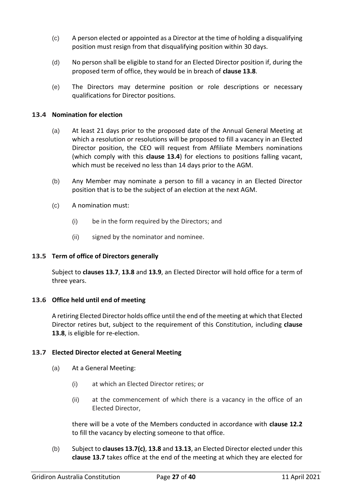- (c) A person elected or appointed as a Director at the time of holding a disqualifying position must resign from that disqualifying position within 30 days.
- (d) No person shall be eligible to stand for an Elected Director position if, during the proposed term of office, they would be in breach of **clause 13.8**.
- (e) The Directors may determine position or role descriptions or necessary qualifications for Director positions.

## <span id="page-26-0"></span>**13.4 Nomination for election**

- (a) At least 21 days prior to the proposed date of the Annual General Meeting at which a resolution or resolutions will be proposed to fill a vacancy in an Elected Director position, the CEO will request from Affiliate Members nominations (which comply with this **clause 13.4**) for elections to positions falling vacant, which must be received no less than 14 days prior to the AGM.
- (b) Any Member may nominate a person to fill a vacancy in an Elected Director position that is to be the subject of an election at the next AGM.
- (c) A nomination must:
	- (i) be in the form required by the Directors; and
	- (ii) signed by the nominator and nominee.

## <span id="page-26-1"></span>**13.5 Term of office of Directors generally**

Subject to **clauses 13.7**, **13.8** and **13.9**, an Elected Director will hold office for a term of three years.

## <span id="page-26-2"></span>**13.6 Office held until end of meeting**

A retiring Elected Director holds office until the end of the meeting at which that Elected Director retires but, subject to the requirement of this Constitution, including **clause 13.8**, is eligible for re-election.

## <span id="page-26-3"></span>**13.7 Elected Director elected at General Meeting**

- (a) At a General Meeting:
	- (i) at which an Elected Director retires; or
	- (ii) at the commencement of which there is a vacancy in the office of an Elected Director,

there will be a vote of the Members conducted in accordance with **clause 12.2** to fill the vacancy by electing someone to that office.

(b) Subject to **clauses 13.7(c)**, **13.8** and **13.13**, an Elected Director elected under this **clause 13.7** takes office at the end of the meeting at which they are elected for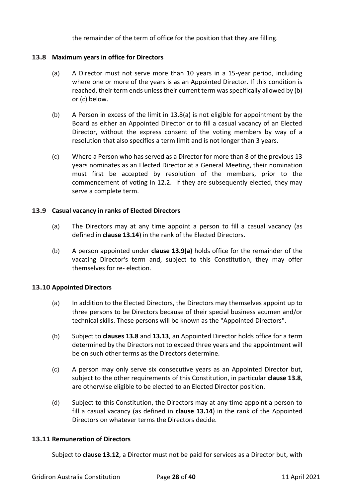the remainder of the term of office for the position that they are filling.

# <span id="page-27-0"></span>**13.8 Maximum years in office for Directors**

- (a) A Director must not serve more than 10 years in a 15-year period, including where one or more of the years is as an Appointed Director. If this condition is reached, their term ends unless their current term was specifically allowed by (b) or (c) below.
- (b) A Person in excess of the limit in 13.8(a) is not eligible for appointment by the Board as either an Appointed Director or to fill a casual vacancy of an Elected Director, without the express consent of the voting members by way of a resolution that also specifies a term limit and is not longer than 3 years.
- (c) Where a Person who has served as a Director for more than 8 of the previous 13 years nominates as an Elected Director at a General Meeting, their nomination must first be accepted by resolution of the members, prior to the commencement of voting in 12.2. If they are subsequently elected, they may serve a complete term.

## <span id="page-27-1"></span>**13.9 Casual vacancy in ranks of Elected Directors**

- (a) The Directors may at any time appoint a person to fill a casual vacancy (as defined in **clause 13.14**) in the rank of the Elected Directors.
- (b) A person appointed under **clause 13.9(a)** holds office for the remainder of the vacating Director's term and, subject to this Constitution, they may offer themselves for re- election.

# <span id="page-27-2"></span>**13.10 Appointed Directors**

- (a) In addition to the Elected Directors, the Directors may themselves appoint up to three persons to be Directors because of their special business acumen and/or technical skills. These persons will be known as the "Appointed Directors".
- (b) Subject to **clauses 13.8** and **13.13**, an Appointed Director holds office for a term determined by the Directors not to exceed three years and the appointment will be on such other terms as the Directors determine.
- (c) A person may only serve six consecutive years as an Appointed Director but, subject to the other requirements of this Constitution, in particular **clause 13.8**, are otherwise eligible to be elected to an Elected Director position.
- (d) Subject to this Constitution, the Directors may at any time appoint a person to fill a casual vacancy (as defined in **clause 13.14**) in the rank of the Appointed Directors on whatever terms the Directors decide.

# <span id="page-27-3"></span>**13.11 Remuneration of Directors**

Subject to **clause 13.12**, a Director must not be paid for services as a Director but, with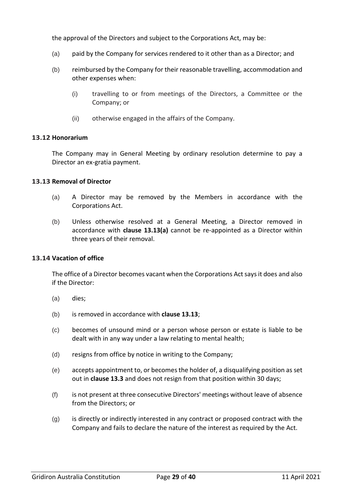the approval of the Directors and subject to the Corporations Act, may be:

- (a) paid by the Company for services rendered to it other than as a Director; and
- (b) reimbursed by the Company for their reasonable travelling, accommodation and other expenses when:
	- (i) travelling to or from meetings of the Directors, a Committee or the Company; or
	- (ii) otherwise engaged in the affairs of the Company.

## <span id="page-28-0"></span>**13.12 Honorarium**

The Company may in General Meeting by ordinary resolution determine to pay a Director an ex-gratia payment.

## <span id="page-28-1"></span>**13.13 Removal of Director**

- (a) A Director may be removed by the Members in accordance with the Corporations Act.
- (b) Unless otherwise resolved at a General Meeting, a Director removed in accordance with **clause 13.13(a)** cannot be re-appointed as a Director within three years of their removal.

## <span id="page-28-2"></span>**13.14 Vacation of office**

The office of a Director becomes vacant when the Corporations Act says it does and also if the Director:

- (a) dies;
- (b) is removed in accordance with **clause 13.13**;
- (c) becomes of unsound mind or a person whose person or estate is liable to be dealt with in any way under a law relating to mental health;
- (d) resigns from office by notice in writing to the Company;
- (e) accepts appointment to, or becomes the holder of, a disqualifying position as set out in **clause 13.3** and does not resign from that position within 30 days;
- (f) is not present at three consecutive Directors' meetings without leave of absence from the Directors; or
- (g) is directly or indirectly interested in any contract or proposed contract with the Company and fails to declare the nature of the interest as required by the Act.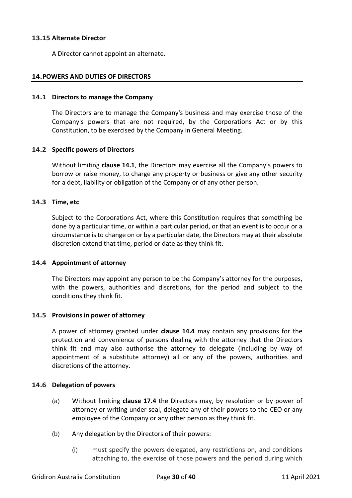## <span id="page-29-0"></span>**13.15 Alternate Director**

A Director cannot appoint an alternate.

## <span id="page-29-1"></span>**14.POWERS AND DUTIES OF DIRECTORS**

### <span id="page-29-2"></span>**14.1 Directors to manage the Company**

The Directors are to manage the Company's business and may exercise those of the Company's powers that are not required, by the Corporations Act or by this Constitution, to be exercised by the Company in General Meeting.

## <span id="page-29-3"></span>**14.2 Specific powers of Directors**

Without limiting **clause 14.1**, the Directors may exercise all the Company's powers to borrow or raise money, to charge any property or business or give any other security for a debt, liability or obligation of the Company or of any other person.

## <span id="page-29-4"></span>**14.3 Time, etc**

Subject to the Corporations Act, where this Constitution requires that something be done by a particular time, or within a particular period, or that an event is to occur or a circumstance is to change on or by a particular date, the Directors may at their absolute discretion extend that time, period or date as they think fit.

## <span id="page-29-5"></span>**14.4 Appointment of attorney**

The Directors may appoint any person to be the Company's attorney for the purposes, with the powers, authorities and discretions, for the period and subject to the conditions they think fit.

## <span id="page-29-6"></span>**14.5 Provisions in power of attorney**

A power of attorney granted under **clause 14.4** may contain any provisions for the protection and convenience of persons dealing with the attorney that the Directors think fit and may also authorise the attorney to delegate (including by way of appointment of a substitute attorney) all or any of the powers, authorities and discretions of the attorney.

## <span id="page-29-7"></span>**14.6 Delegation of powers**

- (a) Without limiting **clause 17.4** the Directors may, by resolution or by power of attorney or writing under seal, delegate any of their powers to the CEO or any employee of the Company or any other person as they think fit.
- (b) Any delegation by the Directors of their powers:
	- (i) must specify the powers delegated, any restrictions on, and conditions attaching to, the exercise of those powers and the period during which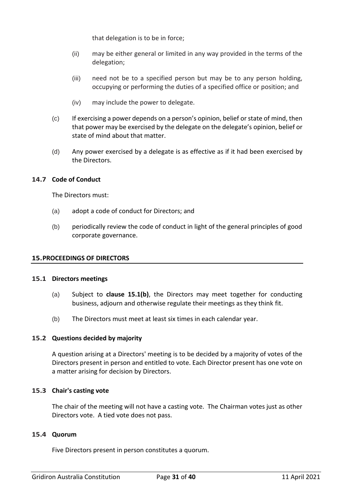that delegation is to be in force;

- (ii) may be either general or limited in any way provided in the terms of the delegation;
- (iii) need not be to a specified person but may be to any person holding, occupying or performing the duties of a specified office or position; and
- (iv) may include the power to delegate.
- (c) If exercising a power depends on a person's opinion, belief or state of mind, then that power may be exercised by the delegate on the delegate's opinion, belief or state of mind about that matter.
- (d) Any power exercised by a delegate is as effective as if it had been exercised by the Directors.

## <span id="page-30-0"></span>**14.7 Code of Conduct**

The Directors must:

- (a) adopt a code of conduct for Directors; and
- (b) periodically review the code of conduct in light of the general principles of good corporate governance.

## <span id="page-30-1"></span>**15.PROCEEDINGS OF DIRECTORS**

## <span id="page-30-2"></span>**15.1 Directors meetings**

- (a) Subject to **clause 15.1(b)**, the Directors may meet together for conducting business, adjourn and otherwise regulate their meetings as they think fit.
- (b) The Directors must meet at least six times in each calendar year.

## <span id="page-30-3"></span>**15.2 Questions decided by majority**

A question arising at a Directors' meeting is to be decided by a majority of votes of the Directors present in person and entitled to vote. Each Director present has one vote on a matter arising for decision by Directors.

## <span id="page-30-4"></span>**15.3 Chair's casting vote**

The chair of the meeting will not have a casting vote. The Chairman votes just as other Directors vote. A tied vote does not pass.

## <span id="page-30-5"></span>**15.4 Quorum**

Five Directors present in person constitutes a quorum.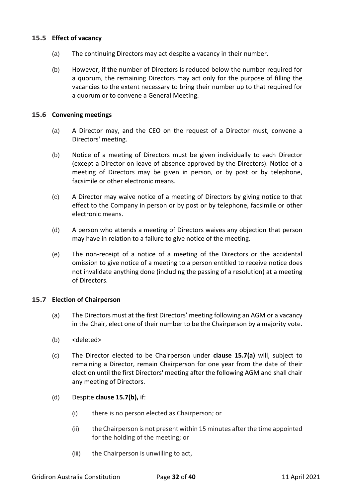## <span id="page-31-0"></span>**15.5 Effect of vacancy**

- (a) The continuing Directors may act despite a vacancy in their number.
- (b) However, if the number of Directors is reduced below the number required for a quorum, the remaining Directors may act only for the purpose of filling the vacancies to the extent necessary to bring their number up to that required for a quorum or to convene a General Meeting.

## <span id="page-31-1"></span>**15.6 Convening meetings**

- (a) A Director may, and the CEO on the request of a Director must, convene a Directors' meeting.
- (b) Notice of a meeting of Directors must be given individually to each Director (except a Director on leave of absence approved by the Directors). Notice of a meeting of Directors may be given in person, or by post or by telephone, facsimile or other electronic means.
- (c) A Director may waive notice of a meeting of Directors by giving notice to that effect to the Company in person or by post or by telephone, facsimile or other electronic means.
- (d) A person who attends a meeting of Directors waives any objection that person may have in relation to a failure to give notice of the meeting.
- (e) The non-receipt of a notice of a meeting of the Directors or the accidental omission to give notice of a meeting to a person entitled to receive notice does not invalidate anything done (including the passing of a resolution) at a meeting of Directors.

## <span id="page-31-2"></span>**15.7 Election of Chairperson**

- (a) The Directors must at the first Directors' meeting following an AGM or a vacancy in the Chair, elect one of their number to be the Chairperson by a majority vote.
- (b) <deleted>
- (c) The Director elected to be Chairperson under **clause 15.7(a)** will, subject to remaining a Director, remain Chairperson for one year from the date of their election until the first Directors' meeting after the following AGM and shall chair any meeting of Directors.
- (d) Despite **clause 15.7(b),** if:
	- (i) there is no person elected as Chairperson; or
	- (ii) the Chairperson is not present within 15 minutes after the time appointed for the holding of the meeting; or
	- (iii) the Chairperson is unwilling to act,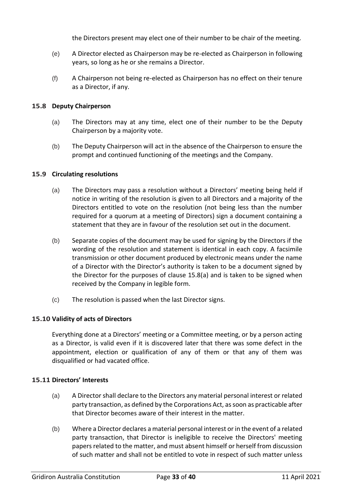the Directors present may elect one of their number to be chair of the meeting.

- (e) A Director elected as Chairperson may be re-elected as Chairperson in following years, so long as he or she remains a Director.
- (f) A Chairperson not being re-elected as Chairperson has no effect on their tenure as a Director, if any.

# <span id="page-32-0"></span>**15.8 Deputy Chairperson**

- (a) The Directors may at any time, elect one of their number to be the Deputy Chairperson by a majority vote.
- (b) The Deputy Chairperson will act in the absence of the Chairperson to ensure the prompt and continued functioning of the meetings and the Company.

## <span id="page-32-1"></span>**15.9 Circulating resolutions**

- (a) The Directors may pass a resolution without a Directors' meeting being held if notice in writing of the resolution is given to all Directors and a majority of the Directors entitled to vote on the resolution (not being less than the number required for a quorum at a meeting of Directors) sign a document containing a statement that they are in favour of the resolution set out in the document.
- (b) Separate copies of the document may be used for signing by the Directors if the wording of the resolution and statement is identical in each copy. A facsimile transmission or other document produced by electronic means under the name of a Director with the Director's authority is taken to be a document signed by the Director for the purposes of clause 15.8(a) and is taken to be signed when received by the Company in legible form.
- (c) The resolution is passed when the last Director signs.

# <span id="page-32-2"></span>**15.10 Validity of acts of Directors**

Everything done at a Directors' meeting or a Committee meeting, or by a person acting as a Director, is valid even if it is discovered later that there was some defect in the appointment, election or qualification of any of them or that any of them was disqualified or had vacated office.

## <span id="page-32-3"></span>**15.11 Directors' Interests**

- (a) A Director shall declare to the Directors any material personal interest or related party transaction, as defined by the Corporations Act, as soon as practicable after that Director becomes aware of their interest in the matter.
- (b) Where a Director declares a material personal interest or in the event of a related party transaction, that Director is ineligible to receive the Directors' meeting papers related to the matter, and must absent himself or herself from discussion of such matter and shall not be entitled to vote in respect of such matter unless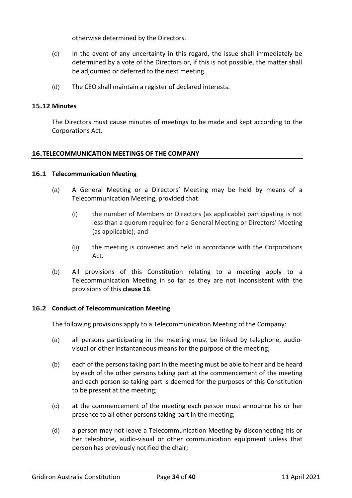otherwise determined by the Directors.

- (c) In the event of any uncertainty in this regard, the issue shall immediately be determined by a vote of the Directors or, if this is not possible, the matter shall be adjourned or deferred to the next meeting.
- (d) The CEO shall maintain a register of declared interests.

# <span id="page-33-0"></span>**15.12 Minutes**

The Directors must cause minutes of meetings to be made and kept according to the Corporations Act.

# <span id="page-33-1"></span>**16.TELECOMMUNICATION MEETINGS OF THE COMPANY**

## <span id="page-33-2"></span>**16.1 Telecommunication Meeting**

- (a) A General Meeting or a Directors' Meeting may be held by means of a Telecommunication Meeting, provided that:
	- (i) the number of Members or Directors (as applicable) participating is not less than a quorum required for a General Meeting or Directors' Meeting (as applicable); and
	- (ii) the meeting is convened and held in accordance with the Corporations Act.
- (b) All provisions of this Constitution relating to a meeting apply to a Telecommunication Meeting in so far as they are not inconsistent with the provisions of this **clause 16**.

## <span id="page-33-3"></span>**16.2 Conduct of Telecommunication Meeting**

The following provisions apply to a Telecommunication Meeting of the Company:

- (a) all persons participating in the meeting must be linked by telephone, audiovisual or other instantaneous means for the purpose of the meeting;
- (b) each of the persons taking part in the meeting must be able to hear and be heard by each of the other persons taking part at the commencement of the meeting and each person so taking part is deemed for the purposes of this Constitution to be present at the meeting;
- (c) at the commencement of the meeting each person must announce his or her presence to all other persons taking part in the meeting;
- (d) a person may not leave a Telecommunication Meeting by disconnecting his or her telephone, audio-visual or other communication equipment unless that person has previously notified the chair;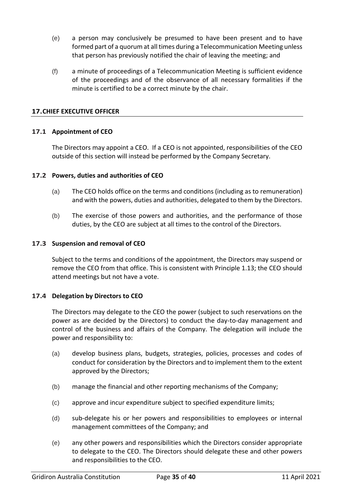- (e) a person may conclusively be presumed to have been present and to have formed part of a quorum at all times during a Telecommunication Meeting unless that person has previously notified the chair of leaving the meeting; and
- (f) a minute of proceedings of a Telecommunication Meeting is sufficient evidence of the proceedings and of the observance of all necessary formalities if the minute is certified to be a correct minute by the chair.

## <span id="page-34-0"></span>**17.CHIEF EXECUTIVE OFFICER**

## <span id="page-34-1"></span>**17.1 Appointment of CEO**

The Directors may appoint a CEO. If a CEO is not appointed, responsibilities of the CEO outside of this section will instead be performed by the Company Secretary.

## <span id="page-34-2"></span>**17.2 Powers, duties and authorities of CEO**

- (a) The CEO holds office on the terms and conditions (including as to remuneration) and with the powers, duties and authorities, delegated to them by the Directors.
- (b) The exercise of those powers and authorities, and the performance of those duties, by the CEO are subject at all times to the control of the Directors.

## <span id="page-34-3"></span>**17.3 Suspension and removal of CEO**

Subject to the terms and conditions of the appointment, the Directors may suspend or remove the CEO from that office. This is consistent with Principle 1.13; the CEO should attend meetings but not have a vote.

## <span id="page-34-4"></span>**17.4 Delegation by Directors to CEO**

The Directors may delegate to the CEO the power (subject to such reservations on the power as are decided by the Directors) to conduct the day-to-day management and control of the business and affairs of the Company. The delegation will include the power and responsibility to:

- (a) develop business plans, budgets, strategies, policies, processes and codes of conduct for consideration by the Directors and to implement them to the extent approved by the Directors;
- (b) manage the financial and other reporting mechanisms of the Company;
- (c) approve and incur expenditure subject to specified expenditure limits;
- (d) sub-delegate his or her powers and responsibilities to employees or internal management committees of the Company; and
- (e) any other powers and responsibilities which the Directors consider appropriate to delegate to the CEO. The Directors should delegate these and other powers and responsibilities to the CEO.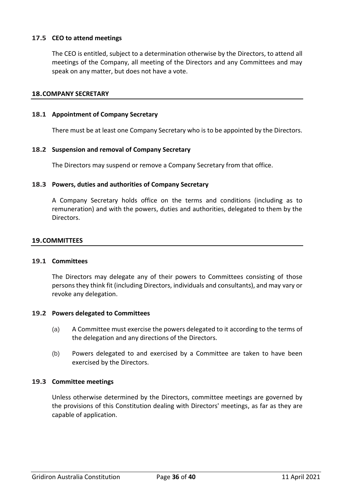# <span id="page-35-0"></span>**17.5 CEO to attend meetings**

The CEO is entitled, subject to a determination otherwise by the Directors, to attend all meetings of the Company, all meeting of the Directors and any Committees and may speak on any matter, but does not have a vote.

#### <span id="page-35-1"></span>**18.COMPANY SECRETARY**

#### <span id="page-35-2"></span>**18.1 Appointment of Company Secretary**

There must be at least one Company Secretary who is to be appointed by the Directors.

#### <span id="page-35-3"></span>**18.2 Suspension and removal of Company Secretary**

The Directors may suspend or remove a Company Secretary from that office.

#### <span id="page-35-4"></span>**18.3 Powers, duties and authorities of Company Secretary**

A Company Secretary holds office on the terms and conditions (including as to remuneration) and with the powers, duties and authorities, delegated to them by the Directors.

#### <span id="page-35-5"></span>**19.COMMITTEES**

#### <span id="page-35-6"></span>**19.1 Committees**

The Directors may delegate any of their powers to Committees consisting of those persons they think fit (including Directors, individuals and consultants), and may vary or revoke any delegation.

#### <span id="page-35-7"></span>**19.2 Powers delegated to Committees**

- (a) A Committee must exercise the powers delegated to it according to the terms of the delegation and any directions of the Directors.
- (b) Powers delegated to and exercised by a Committee are taken to have been exercised by the Directors.

## <span id="page-35-8"></span>**19.3 Committee meetings**

Unless otherwise determined by the Directors, committee meetings are governed by the provisions of this Constitution dealing with Directors' meetings, as far as they are capable of application.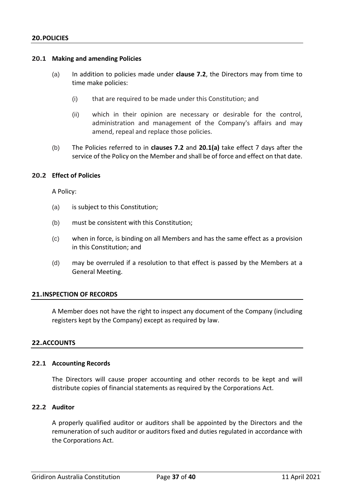## <span id="page-36-1"></span><span id="page-36-0"></span>**20.1 Making and amending Policies**

- (a) In addition to policies made under **clause 7.2**, the Directors may from time to time make policies:
	- (i) that are required to be made under this Constitution; and
	- (ii) which in their opinion are necessary or desirable for the control, administration and management of the Company's affairs and may amend, repeal and replace those policies.
- (b) The Policies referred to in **clauses 7.2** and **20.1(a)** take effect 7 days after the service of the Policy on the Member and shall be of force and effect on that date.

## <span id="page-36-2"></span>**20.2 Effect of Policies**

A Policy:

- (a) is subject to this Constitution;
- (b) must be consistent with this Constitution;
- (c) when in force, is binding on all Members and has the same effect as a provision in this Constitution; and
- (d) may be overruled if a resolution to that effect is passed by the Members at a General Meeting.

## <span id="page-36-3"></span>**21.INSPECTION OF RECORDS**

A Member does not have the right to inspect any document of the Company (including registers kept by the Company) except as required by law.

## <span id="page-36-4"></span>**22.ACCOUNTS**

#### <span id="page-36-5"></span>**22.1 Accounting Records**

The Directors will cause proper accounting and other records to be kept and will distribute copies of financial statements as required by the Corporations Act.

#### <span id="page-36-6"></span>**22.2 Auditor**

A properly qualified auditor or auditors shall be appointed by the Directors and the remuneration of such auditor or auditors fixed and duties regulated in accordance with the Corporations Act.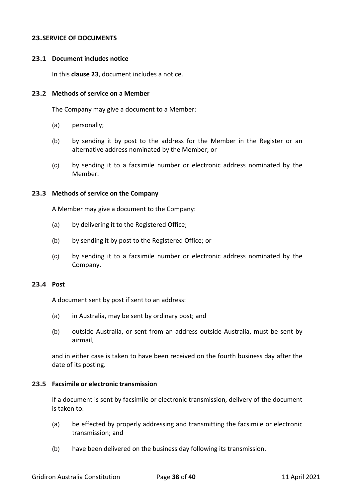#### <span id="page-37-0"></span>**23.SERVICE OF DOCUMENTS**

#### <span id="page-37-1"></span>**23.1 Document includes notice**

In this **clause 23**, document includes a notice.

#### <span id="page-37-2"></span>**23.2 Methods of service on a Member**

The Company may give a document to a Member:

- (a) personally;
- (b) by sending it by post to the address for the Member in the Register or an alternative address nominated by the Member; or
- (c) by sending it to a facsimile number or electronic address nominated by the Member.

#### <span id="page-37-3"></span>**23.3 Methods of service on the Company**

A Member may give a document to the Company:

- (a) by delivering it to the Registered Office;
- (b) by sending it by post to the Registered Office; or
- (c) by sending it to a facsimile number or electronic address nominated by the Company.

#### <span id="page-37-4"></span>**23.4 Post**

A document sent by post if sent to an address:

- (a) in Australia, may be sent by ordinary post; and
- (b) outside Australia, or sent from an address outside Australia, must be sent by airmail,

and in either case is taken to have been received on the fourth business day after the date of its posting.

#### <span id="page-37-5"></span>**23.5 Facsimile or electronic transmission**

If a document is sent by facsimile or electronic transmission, delivery of the document is taken to:

- (a) be effected by properly addressing and transmitting the facsimile or electronic transmission; and
- (b) have been delivered on the business day following its transmission.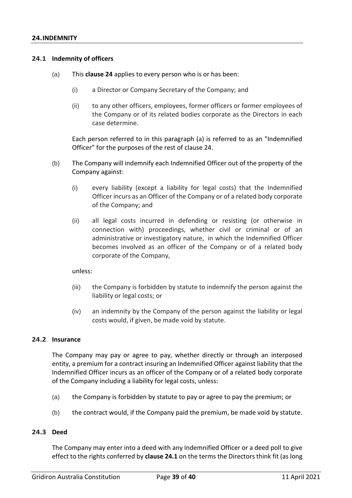#### <span id="page-38-1"></span><span id="page-38-0"></span>**24.1 Indemnity of officers**

- (a) This **clause 24** applies to every person who is or has been:
	- (i) a Director or Company Secretary of the Company; and
	- (ii) to any other officers, employees, former officers or former employees of the Company or of its related bodies corporate as the Directors in each case determine.

Each person referred to in this paragraph (a) is referred to as an "Indemnified Officer" for the purposes of the rest of clause 24.

- (b) The Company will indemnify each Indemnified Officer out of the property of the Company against:
	- (i) every liability (except a liability for legal costs) that the Indemnified Officer incurs as an Officer of the Company or of a related body corporate of the Company; and
	- (ii) all legal costs incurred in defending or resisting (or otherwise in connection with) proceedings, whether civil or criminal or of an administrative or investigatory nature, in which the Indemnified Officer becomes involved as an officer of the Company or of a related body corporate of the Company,

unless:

- (iii) the Company is forbidden by statute to indemnify the person against the liability or legal costs; or
- (iv) an indemnity by the Company of the person against the liability or legal costs would, if given, be made void by statute.

#### <span id="page-38-2"></span>**24.2 Insurance**

The Company may pay or agree to pay, whether directly or through an interposed entity, a premium for a contract insuring an Indemnified Officer against liability that the Indemnified Officer incurs as an officer of the Company or of a related body corporate of the Company including a liability for legal costs, unless:

- (a) the Company is forbidden by statute to pay or agree to pay the premium; or
- (b) the contract would, if the Company paid the premium, be made void by statute.

#### <span id="page-38-3"></span>**24.3 Deed**

The Company may enter into a deed with any Indemnified Officer or a deed poll to give effect to the rights conferred by **clause 24.1** on the terms the Directors think fit (as long